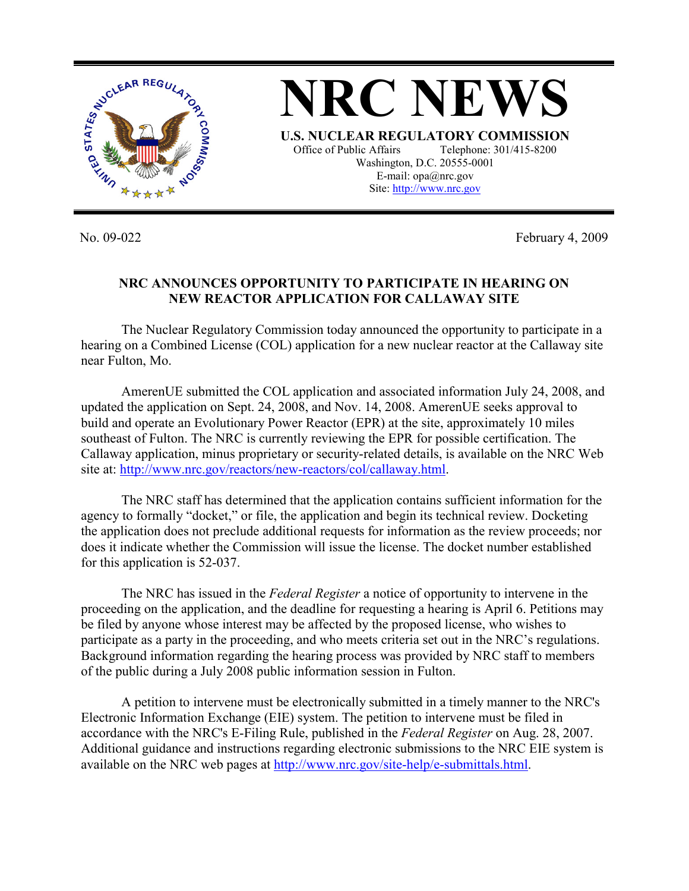

No. 09-022 February 4, 2009

## **NRC ANNOUNCES OPPORTUNITY TO PARTICIPATE IN HEARING ON NEW REACTOR APPLICATION FOR CALLAWAY SITE**

 The Nuclear Regulatory Commission today announced the opportunity to participate in a hearing on a Combined License (COL) application for a new nuclear reactor at the Callaway site near Fulton, Mo.

AmerenUE submitted the COL application and associated information July 24, 2008, and updated the application on Sept. 24, 2008, and Nov. 14, 2008. AmerenUE seeks approval to build and operate an Evolutionary Power Reactor (EPR) at the site, approximately 10 miles southeast of Fulton. The NRC is currently reviewing the EPR for possible certification. The Callaway application, minus proprietary or security-related details, is available on the NRC Web site at: http://www.nrc.gov/reactors/new-reactors/col/callaway.html.

 The NRC staff has determined that the application contains sufficient information for the agency to formally "docket," or file, the application and begin its technical review. Docketing the application does not preclude additional requests for information as the review proceeds; nor does it indicate whether the Commission will issue the license. The docket number established for this application is 52-037.

 The NRC has issued in the *Federal Register* a notice of opportunity to intervene in the proceeding on the application, and the deadline for requesting a hearing is April 6. Petitions may be filed by anyone whose interest may be affected by the proposed license, who wishes to participate as a party in the proceeding, and who meets criteria set out in the NRC's regulations. Background information regarding the hearing process was provided by NRC staff to members of the public during a July 2008 public information session in Fulton.

 A petition to intervene must be electronically submitted in a timely manner to the NRC's Electronic Information Exchange (EIE) system. The petition to intervene must be filed in accordance with the NRC's E-Filing Rule, published in the *Federal Register* on Aug. 28, 2007. Additional guidance and instructions regarding electronic submissions to the NRC EIE system is available on the NRC web pages at http://www.nrc.gov/site-help/e-submittals.html.